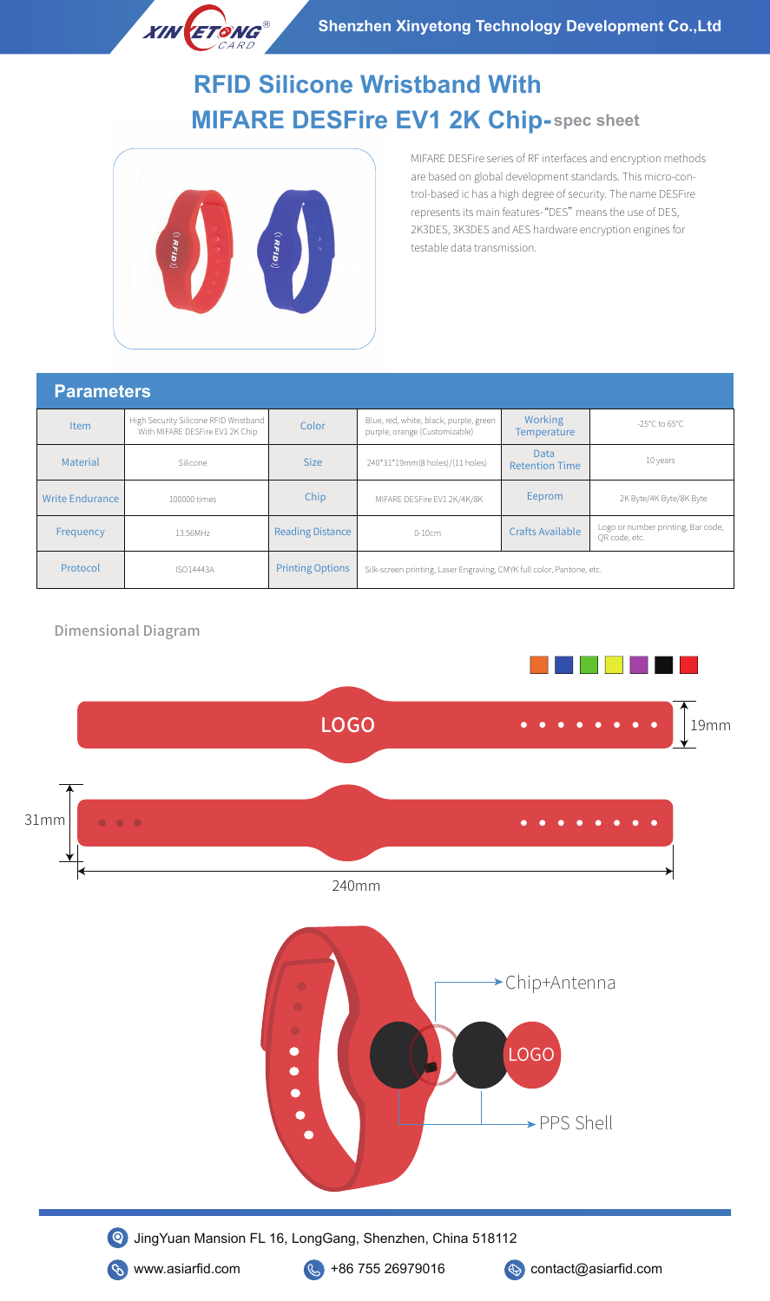

# **MIFARE DESFire EV1 2K Chip-spec sheet RFID Silicone Wristband With**



MIFARE DESFire series of RF interfaces and encryption methods are based on global development standards. This micro-control-based ic has a high degree of security. The name DESFire represents its main features-"DES" means the use of DES, 2K3DES, 3K3DES and AES hardware encryption engines for testable data transmission.

#### **Parameters**

| <b>Item</b>            | High Security Silicone RFID Wristband<br>With MIFARE DESFire EV1 2K Chip | Color                   | Blue, red, white, black, purple, green<br>purple, orange (Customizable) | <b>Working</b><br><b>Temperature</b> | -25 $^{\circ}$ C to 65 $^{\circ}$ C                 |
|------------------------|--------------------------------------------------------------------------|-------------------------|-------------------------------------------------------------------------|--------------------------------------|-----------------------------------------------------|
| <b>Material</b>        | Silicone                                                                 | <b>Size</b>             | 240*31*19mm(8 holes)/(11 holes)                                         | Data<br><b>Retention Time</b>        | 10 years                                            |
| <b>Write Endurance</b> | 100000 times                                                             | Chip                    | MIFARE DESFire EV1 2K/4K/8K                                             | Eeprom                               | 2K Byte/4K Byte/8K Byte                             |
| Frequency              | 13.56MHz                                                                 | <b>Reading Distance</b> | $0-10cm$                                                                | <b>Crafts Available</b>              | Logo or number printing, Bar code,<br>OR code, etc. |
| Protocol               | <b>ISO14443A</b>                                                         | <b>Printing Options</b> | Silk-screen printing, Laser Engraving, CMYK full color, Pantone, etc.   |                                      |                                                     |

### Dimensional Diagram

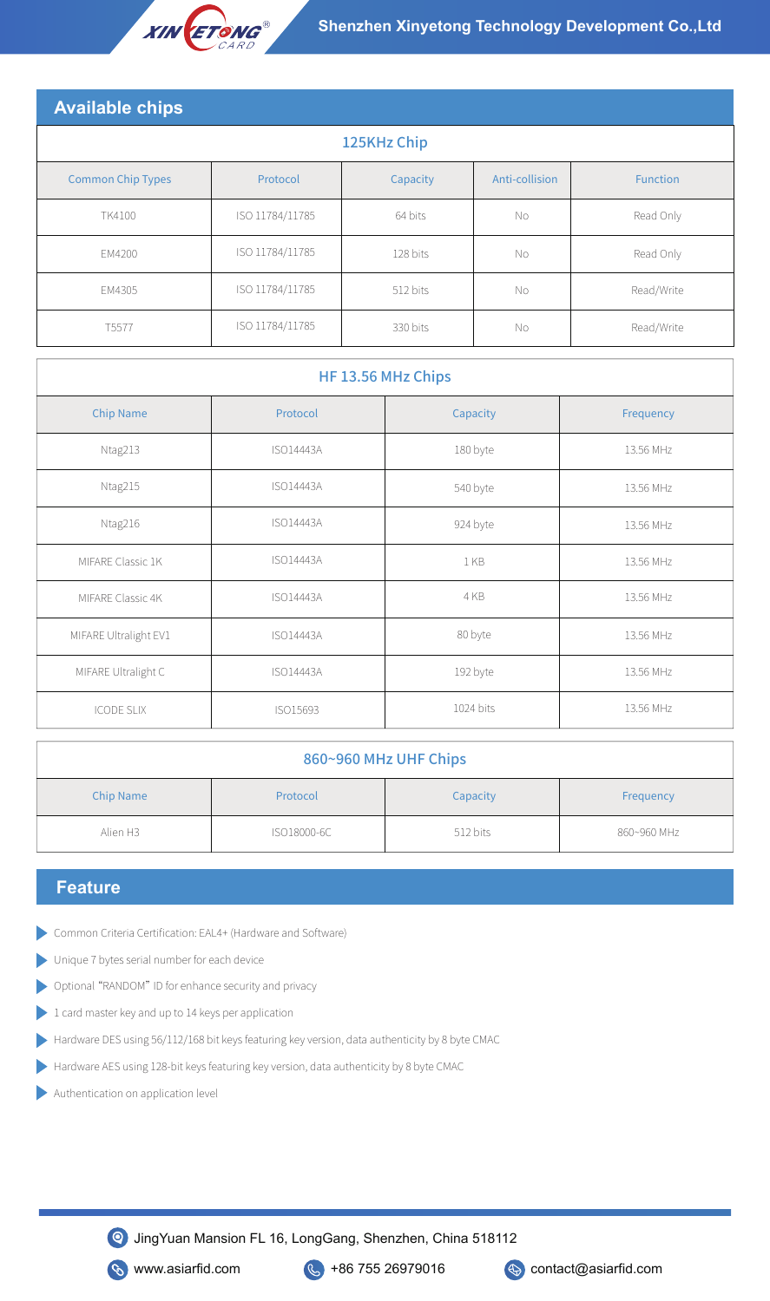

| <b>Available chips</b>   |                 |          |                |                 |  |
|--------------------------|-----------------|----------|----------------|-----------------|--|
| 125KHz Chip              |                 |          |                |                 |  |
| <b>Common Chip Types</b> | Protocol        | Capacity | Anti-collision | <b>Function</b> |  |
| TK4100                   | ISO 11784/11785 | 64 bits  | No             | Read Only       |  |
| EM4200                   | ISO 11784/11785 | 128 bits | No             | Read Only       |  |
| EM4305                   | ISO 11784/11785 | 512 bits | No             | Read/Write      |  |
| T5577                    | ISO 11784/11785 | 330 bits | No.            | Read/Write      |  |

| HF 13.56 MHz Chips    |                  |           |           |  |
|-----------------------|------------------|-----------|-----------|--|
| <b>Chip Name</b>      | Protocol         | Capacity  | Frequency |  |
| Ntag213               | <b>ISO14443A</b> | 180 byte  | 13.56 MHz |  |
| Ntag215               | <b>ISO14443A</b> | 540 byte  | 13.56 MHz |  |
| Ntag216               | <b>ISO14443A</b> | 924 byte  | 13.56 MHz |  |
| MIFARE Classic 1K     | <b>ISO14443A</b> | 1 KB      | 13.56 MHz |  |
| MIFARE Classic 4K     | ISO14443A        | 4 KB      | 13.56 MHz |  |
| MIFARE Ultralight EV1 | <b>ISO14443A</b> | 80 byte   | 13.56 MHz |  |
| MIFARE Ultralight C   | <b>ISO14443A</b> | 192 byte  | 13.56 MHz |  |
| <b>ICODE SLIX</b>     | ISO15693         | 1024 bits | 13.56 MHz |  |

| 860~960 MHz UHF Chips |  |  |  |
|-----------------------|--|--|--|
|-----------------------|--|--|--|

| <b>Chip Name</b> | Protocol    | Capacity | Frequency   |
|------------------|-------------|----------|-------------|
| Alien H3         | ISO18000-6C | 512 bits | 860~960 MHz |

## **Feature**

- Common Criteria Certification: EAL4+ (Hardware and Software)
- Unique 7 bytes serial number for each device D
- Optional "RANDOM" ID for enhance security and privacy D
- Þ 1 card master key and up to 14 keys per application
- Hardware DES using 56/112/168 bit keys featuring key version, data authenticity by 8 byte CMAC
- Hardware AES using 128-bit keys featuring key version, data authenticity by 8 byte CMAC
- Authentication on application level

JingYuan Mansion FL 16, LongGang, Shenzhen, China 518112